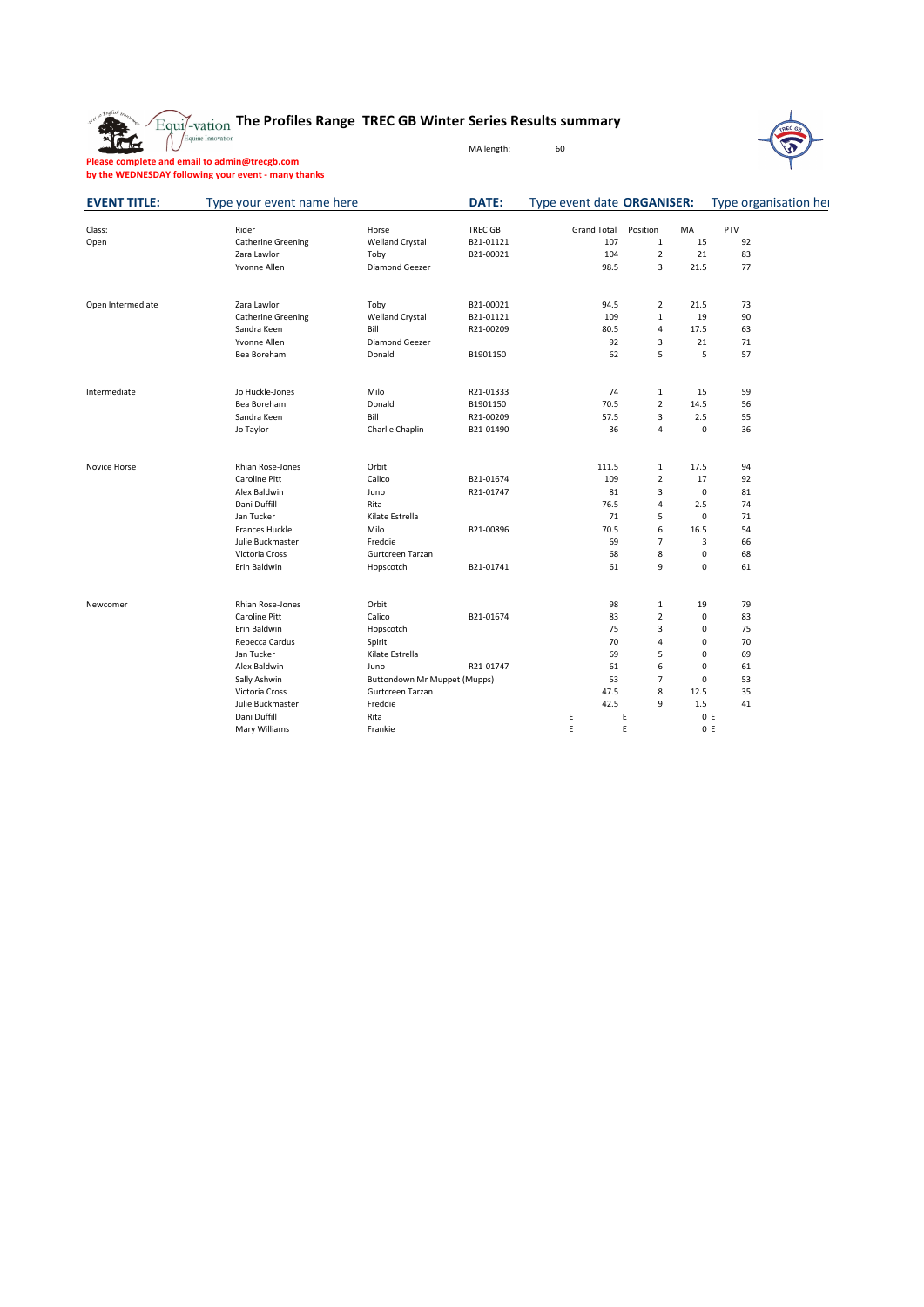

## **The Profiles Range TREC GB Winter Series Results summary**

MA length: 60



**Please complete and email to admin@trecgb.com by the WEDNESDAY following your event - many thanks**

| <b>EVENT TITLE:</b> | Type your event name here |                              | DATE:          | Type event date ORGANISER: |                |             |     | Type organisation her |
|---------------------|---------------------------|------------------------------|----------------|----------------------------|----------------|-------------|-----|-----------------------|
| Class:              | Rider                     | Horse                        | <b>TREC GB</b> | <b>Grand Total</b>         | Position       | MA          | PTV |                       |
| Open                | <b>Catherine Greening</b> | <b>Welland Crystal</b>       | B21-01121      | 107                        | 1              | 15          | 92  |                       |
|                     | Zara Lawlor               | Toby                         | B21-00021      | 104                        | $\mathbf 2$    | 21          | 83  |                       |
|                     | Yvonne Allen              | Diamond Geezer               |                | 98.5                       | 3              | 21.5        | 77  |                       |
| Open Intermediate   | Zara Lawlor               | Toby                         | B21-00021      | 94.5                       | $\overline{2}$ | 21.5        | 73  |                       |
|                     | <b>Catherine Greening</b> | <b>Welland Crystal</b>       | B21-01121      | 109                        | $\mathbf{1}$   | 19          | 90  |                       |
|                     | Sandra Keen               | Bill                         | R21-00209      | 80.5                       | 4              | 17.5        | 63  |                       |
|                     | Yvonne Allen              | Diamond Geezer               |                | 92                         | 3              | 21          | 71  |                       |
|                     | Bea Boreham               | Donald                       | B1901150       | 62                         | 5              | 5           | 57  |                       |
| Intermediate        | Jo Huckle-Jones           | Milo                         | R21-01333      | 74                         | 1              | 15          | 59  |                       |
|                     | Bea Boreham               | Donald                       | B1901150       | 70.5                       | $\overline{2}$ | 14.5        | 56  |                       |
|                     | Sandra Keen               | Bill                         | R21-00209      | 57.5                       | 3              | 2.5         | 55  |                       |
|                     | Jo Taylor                 | Charlie Chaplin              | B21-01490      | 36                         | 4              | 0           | 36  |                       |
| Novice Horse        | Rhian Rose-Jones          | Orbit                        |                | 111.5                      | 1              | 17.5        | 94  |                       |
|                     | Caroline Pitt             | Calico                       | B21-01674      | 109                        | $\overline{2}$ | 17          | 92  |                       |
|                     | Alex Baldwin              | Juno                         | R21-01747      | 81                         | 3              | $\mathsf 0$ | 81  |                       |
|                     | Dani Duffill              | Rita                         |                | 76.5                       | $\overline{4}$ | 2.5         | 74  |                       |
|                     | Jan Tucker                | Kilate Estrella              |                | 71                         | 5              | 0           | 71  |                       |
|                     | Frances Huckle            | Milo                         | B21-00896      | 70.5                       | 6              | 16.5        | 54  |                       |
|                     | Julie Buckmaster          | Freddie                      |                | 69                         | $\overline{7}$ | 3           | 66  |                       |
|                     | Victoria Cross            | Gurtcreen Tarzan             |                | 68                         | 8              | 0           | 68  |                       |
|                     | Erin Baldwin              | Hopscotch                    | B21-01741      | 61                         | 9              | 0           | 61  |                       |
| Newcomer            | Rhian Rose-Jones          | Orbit                        |                | 98                         | 1              | 19          | 79  |                       |
|                     | Caroline Pitt             | Calico                       | B21-01674      | 83                         | $\overline{2}$ | 0           | 83  |                       |
|                     | Erin Baldwin              | Hopscotch                    |                | 75                         | 3              | 0           | 75  |                       |
|                     | Rebecca Cardus            | Spirit                       |                | 70                         | 4              | 0           | 70  |                       |
|                     | Jan Tucker                | Kilate Estrella              |                | 69                         | 5              | 0           | 69  |                       |
|                     | Alex Baldwin              | Juno                         | R21-01747      | 61                         | 6              | 0           | 61  |                       |
|                     | Sally Ashwin              | Buttondown Mr Muppet (Mupps) |                | 53                         | $\overline{7}$ | 0           | 53  |                       |
|                     | Victoria Cross            | Gurtcreen Tarzan             |                | 47.5                       | 8              | 12.5        | 35  |                       |
|                     | Julie Buckmaster          | Freddie                      |                | 42.5                       | 9              | 1.5         | 41  |                       |
|                     | Dani Duffill              | Rita                         |                | Ε                          | E              | 0 E         |     |                       |
|                     | Mary Williams             | Frankie                      |                | E                          | E              | 0 E         |     |                       |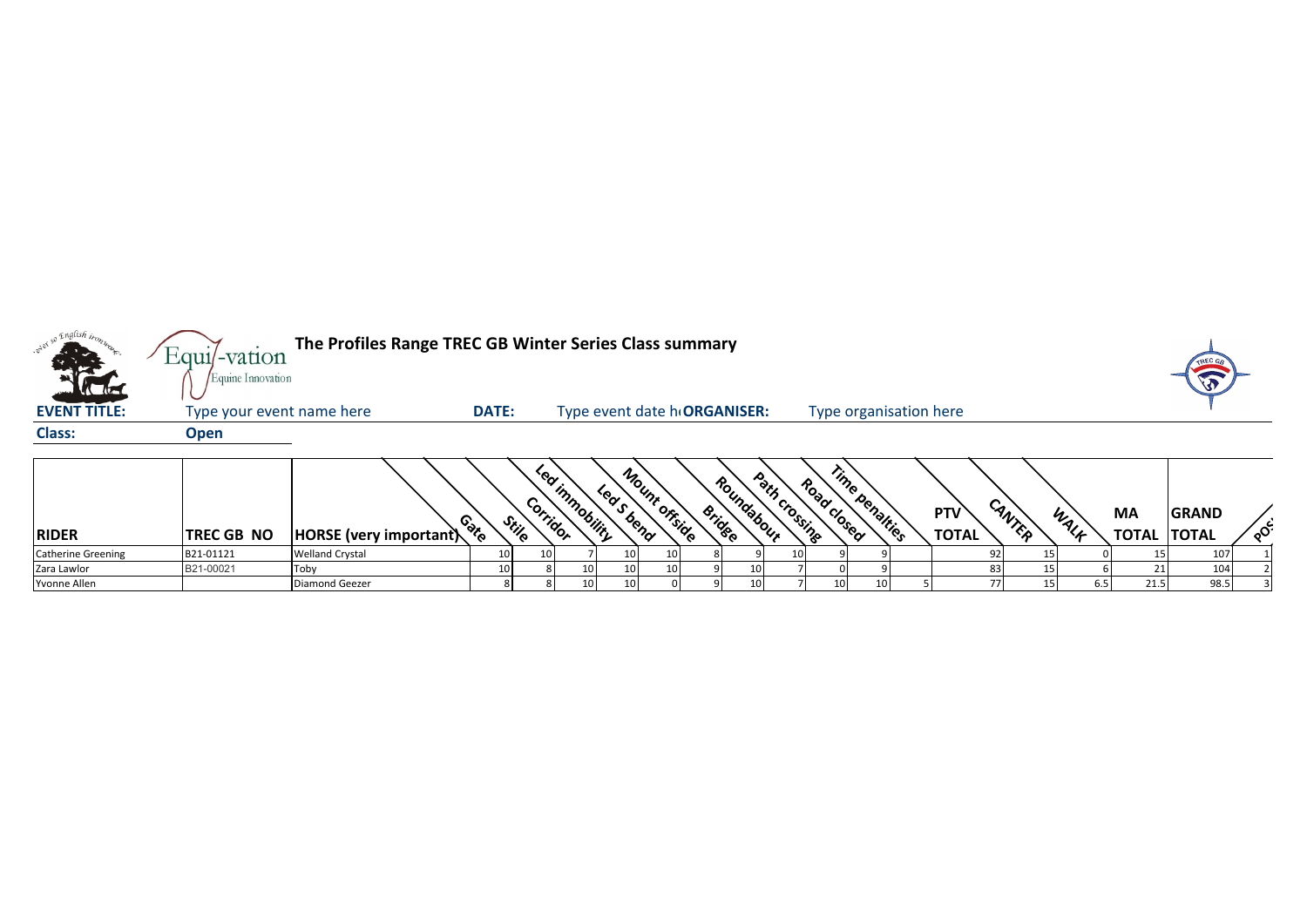| <sub>o</sub> English <sub>tro</sub><br>the the | $Equi$ -vation<br>Equine Innovation | The Profiles Range TREC GB Winter Series Class summary |              |                            |                                |                 |                      |                              |                        |                            |        |      |                           |                              |          |
|------------------------------------------------|-------------------------------------|--------------------------------------------------------|--------------|----------------------------|--------------------------------|-----------------|----------------------|------------------------------|------------------------|----------------------------|--------|------|---------------------------|------------------------------|----------|
| <b>EVENT TITLE:</b>                            | Type your event name here           |                                                        | <b>DATE:</b> |                            | Type event date h ORGANISER:   |                 |                      |                              | Type organisation here |                            |        |      |                           |                              |          |
| <b>Class:</b>                                  | <b>Open</b>                         |                                                        |              |                            |                                |                 |                      |                              |                        |                            |        |      |                           |                              |          |
| <b>RIDER</b>                                   | TREC GB NO                          | HORSE (very important)                                 | Conto        | ັ°⊗∕ີ<br>Corridor<br>Stile | <b>Immobility</b><br>Leas bend | Mount offside   | Roundabour<br>Bridge | Path crossing<br>Road closed | Time penalties         | <b>PTV</b><br><b>TOTAL</b> | CANTER | WALK | <b>MA</b><br><b>TOTAL</b> | <b>GRAND</b><br><b>TOTAL</b> | $\delta$ |
| <b>Catherine Greening</b>                      | B21-01121                           | <b>Welland Crystal</b>                                 | 10           | 10                         | 10                             | 10 <sup>1</sup> |                      | 10                           |                        |                            |        |      |                           | 107                          |          |
| Zara Lawlor                                    | B21-00021                           | Toby                                                   | 10           |                            | 10<br>10                       | 10              | 10                   |                              |                        | 83                         |        |      |                           | 104                          |          |
| Yvonne Allen                                   |                                     | Diamond Geezer                                         |              |                            | 10<br>10                       |                 | 10                   | 10                           |                        | 77                         |        | 6.5  | 21.5                      | 98.5                         |          |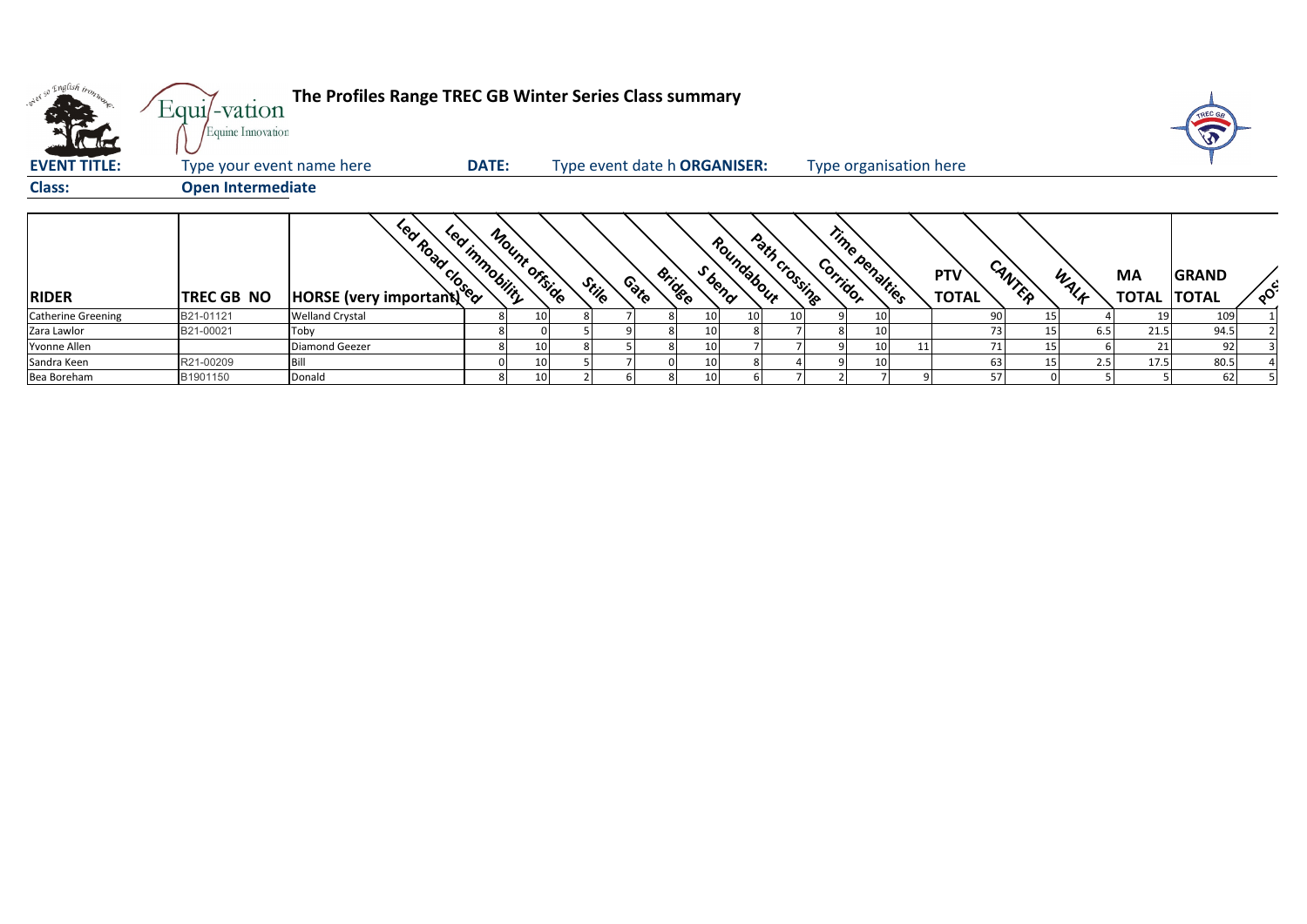| <b>VC 45</b>              | The Profiles Range TREC GB Winter Series Class summary<br>Equi/-vation<br>Equine Innovation |                        |                |               |                              |      |                         |            |               |                            |  |                            |        |      |                          | TREC GA      |                                     |
|---------------------------|---------------------------------------------------------------------------------------------|------------------------|----------------|---------------|------------------------------|------|-------------------------|------------|---------------|----------------------------|--|----------------------------|--------|------|--------------------------|--------------|-------------------------------------|
| <b>EVENT TITLE:</b>       | Type your event name here                                                                   |                        | <b>DATE:</b>   |               | Type event date h ORGANISER: |      |                         |            |               | Type organisation here     |  |                            |        |      |                          |              |                                     |
| <b>Class:</b>             | <b>Open Intermediate</b>                                                                    |                        |                |               |                              |      |                         |            |               |                            |  |                            |        |      |                          |              |                                     |
| <b>RIDER</b>              | <b>TREC GB NO</b>                                                                           | For top Your Minister  | Led innobility | Mount offside | Stile                        | Cate | S bend<br><b>Bridge</b> | Roundabour | Path crossing | Time penalties<br>Corridor |  | <b>PTV</b><br><b>TOTAL</b> | CANTER | WALK | MA<br><b>TOTAL TOTAL</b> | <b>GRAND</b> | $\circ^{\mathcal{C}^{\mathcal{C}}}$ |
| <b>Catherine Greening</b> | B21-01121                                                                                   | <b>Welland Crystal</b> |                | 10            |                              |      | 10 <sup>1</sup>         | 10         | 10            | 10                         |  | 90                         |        |      |                          | 109          |                                     |
| Zara Lawlor               | B21-00021                                                                                   | Toby                   | 8              |               |                              |      | 10                      |            |               | 10                         |  | 73                         |        | 6.5  | 21.5                     | 94.5         |                                     |
| Yvonne Allen              |                                                                                             | Diamond Geezer         |                | 10            |                              |      | 10                      |            |               | 10                         |  |                            |        |      |                          | 92           |                                     |
| Sandra Keen               | R21-00209                                                                                   | Bill                   |                | 10            |                              |      |                         |            |               | 10                         |  | 63                         |        | 2.5  | 17.5                     | 80.5         |                                     |
| Bea Boreham               | B1901150                                                                                    | Donald                 | 8              | 10            |                              |      | 10                      |            |               |                            |  | 57                         |        |      |                          | 62.          |                                     |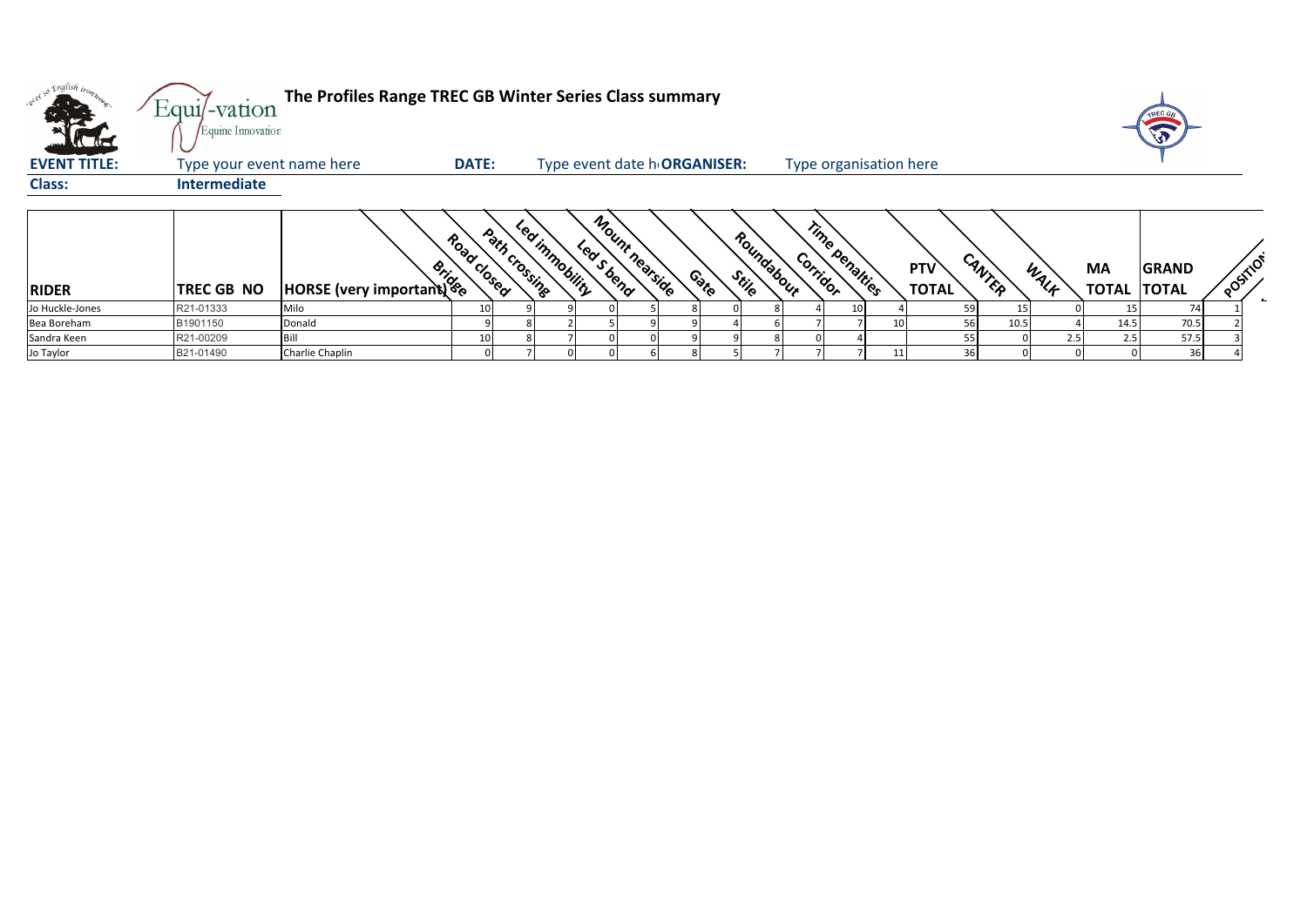| , English iron      | The Profiles Range TREC GB Winter Series Class summary<br>$Equi$ -vation<br>Equine Innovation<br>l'a de |                        |              |                                 |            |                              |       |                     |                        |                |    |                            |                |     |                                 | TREC GA<br>A |          |
|---------------------|---------------------------------------------------------------------------------------------------------|------------------------|--------------|---------------------------------|------------|------------------------------|-------|---------------------|------------------------|----------------|----|----------------------------|----------------|-----|---------------------------------|--------------|----------|
| <b>EVENT TITLE:</b> | Type your event name here                                                                               |                        | <b>DATE:</b> |                                 |            | Type event date h ORGANISER: |       |                     | Type organisation here |                |    |                            |                |     |                                 |              |          |
| <b>Class:</b>       | <b>Intermediate</b>                                                                                     |                        |              |                                 |            |                              |       |                     |                        |                |    |                            |                |     |                                 |              |          |
| <b>RIDER</b>        | <b>TREC GB NO</b>                                                                                       | HORSE (very important) | Road Closed  | Led inmobility<br>Path crossing | Lea S bend | Mount nearside               | Conto | Roundabour<br>Stile | Corridor               | Time penalties |    | <b>PTV</b><br><b>TOTAL</b> | CANTER<br>WALK |     | <b>MA</b><br><b>TOTAL TOTAL</b> | <b>GRAND</b> | POSITION |
| Jo Huckle-Jones     | R21-01333                                                                                               | Milo                   | 10           |                                 |            |                              |       |                     |                        |                |    |                            |                |     |                                 |              |          |
| Bea Boreham         | B1901150                                                                                                | Donald                 |              |                                 |            |                              |       |                     |                        |                | 10 | 56                         | 10.5           |     | 14.5                            | 70.5         |          |
| Sandra Keen         | R21-00209                                                                                               | Bill                   | 10           |                                 |            |                              |       |                     |                        |                |    |                            |                | 2.5 | 2.5                             | 57.5         |          |
| Jo Taylor           | B21-01490                                                                                               | Charlie Chaplin        |              |                                 |            |                              |       |                     |                        |                |    |                            |                |     |                                 | 36           |          |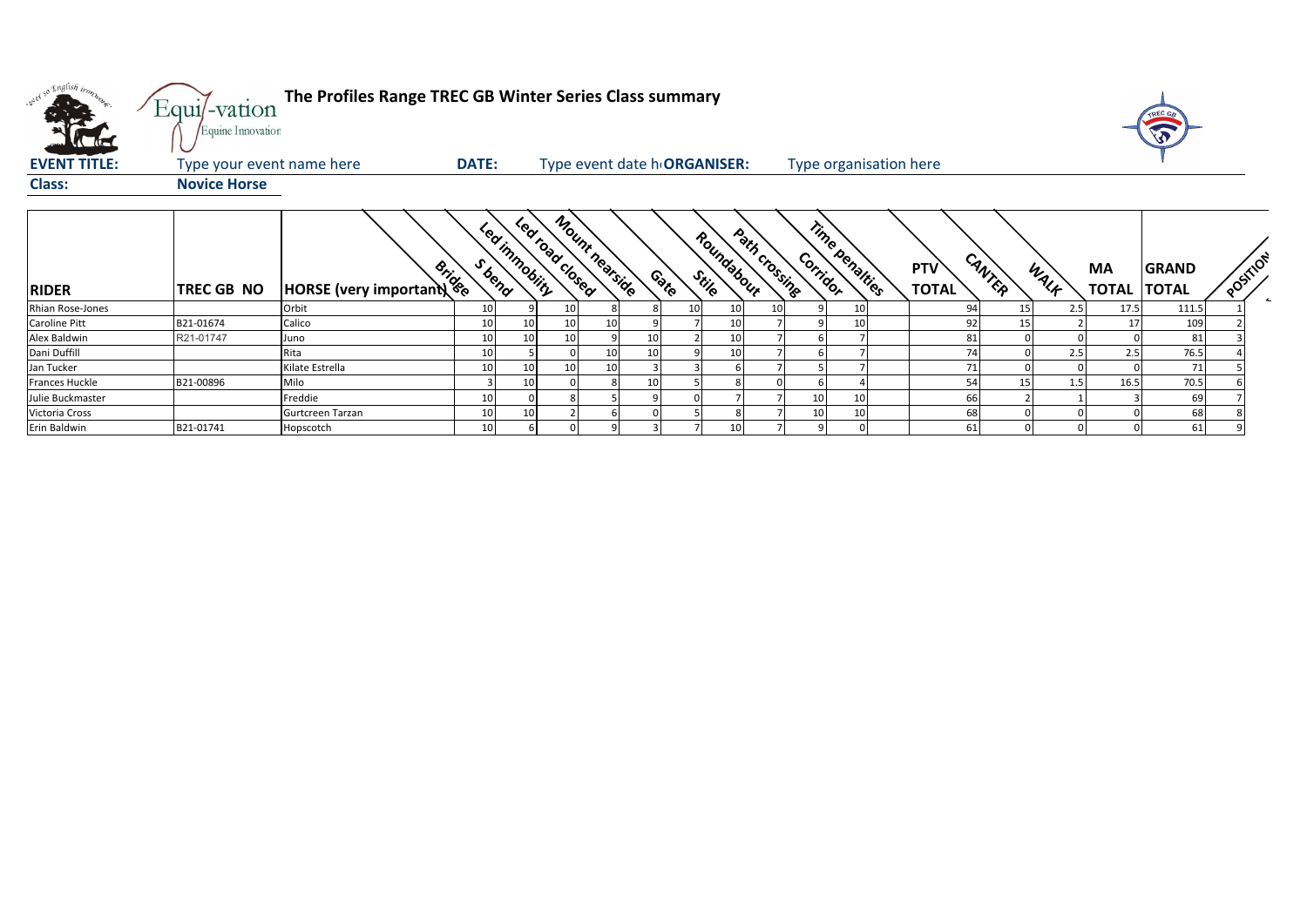| ster so English tromp<br><b>EVENT TITLE:</b><br><b>Class:</b> | Equi/-vation<br>Equine Innovation<br>Type your event name here<br><b>Novice Horse</b> | The Profiles Range TREC GB Winter Series Class summary | <b>DATE:</b> |                 | Type event date h ORGANISER:     |    |       |                       |                           | Type organisation here |                     |                |     |                           |                              |          |  |
|---------------------------------------------------------------|---------------------------------------------------------------------------------------|--------------------------------------------------------|--------------|-----------------|----------------------------------|----|-------|-----------------------|---------------------------|------------------------|---------------------|----------------|-----|---------------------------|------------------------------|----------|--|
| <b>RIDER</b>                                                  | TREC GB NO                                                                            | <b>Solution</b><br>HORSE (very important)              | S bend       | Led inmobility  | Mount negrside<br>Led road dosed |    | Conto | Roundabour<br>Stile   | Path crossing<br>Corridor | Time penalties         | PTV<br><b>TOTAL</b> | CANTER<br>WALK |     | <b>MA</b><br><b>TOTAL</b> | <b>GRAND</b><br><b>TOTAL</b> | POSITION |  |
| Rhian Rose-Jones                                              |                                                                                       | Orbit                                                  | 10           |                 | 10                               |    |       | 10 <sup>1</sup><br>10 | 10                        | $\mathbf{1}$           | 94                  | 15             | 2.5 | 17.5                      | 111.5                        |          |  |
| Caroline Pitt                                                 | B21-01674                                                                             | Calico                                                 | 10           | 10              | 10                               | 10 |       | 10                    |                           |                        | 92                  | 15             |     |                           | 109                          |          |  |
| Alex Baldwin                                                  | R21-01747                                                                             | Juno                                                   | 10           | 10 <sup>1</sup> | 10                               |    |       | 10                    |                           |                        | 81                  |                |     |                           | 81                           |          |  |
| Dani Duffill                                                  |                                                                                       | Rita                                                   | 10           |                 |                                  |    |       |                       |                           |                        | 74                  |                |     |                           | 76.5                         |          |  |
| Jan Tucker                                                    |                                                                                       | Kilate Estrella                                        | 10           | 10              | 10                               | 10 |       |                       |                           |                        | 71                  |                |     |                           | 71                           |          |  |
| Frances Huckle                                                | B21-00896                                                                             | Milo                                                   |              | 10              |                                  |    | 10    |                       |                           |                        | 54                  | 15             | 1.5 | 16.5                      | 70.5                         |          |  |
| Julie Buckmaster                                              |                                                                                       | Freddie                                                | 10           | $\overline{0}$  |                                  |    |       |                       | 10                        | 10                     | 66                  |                |     |                           | 69                           |          |  |
| Victoria Cross                                                |                                                                                       | Gurtcreen Tarzan                                       | 10           | 10              |                                  |    |       |                       | 10                        | $\mathbf{1}$           | 68                  |                |     |                           | 68                           |          |  |
| Erin Baldwin                                                  | B21-01741                                                                             | Hopscotch                                              | 10           | 6 <sup>1</sup>  |                                  |    |       | 10                    |                           |                        | 61                  |                |     |                           | 61                           |          |  |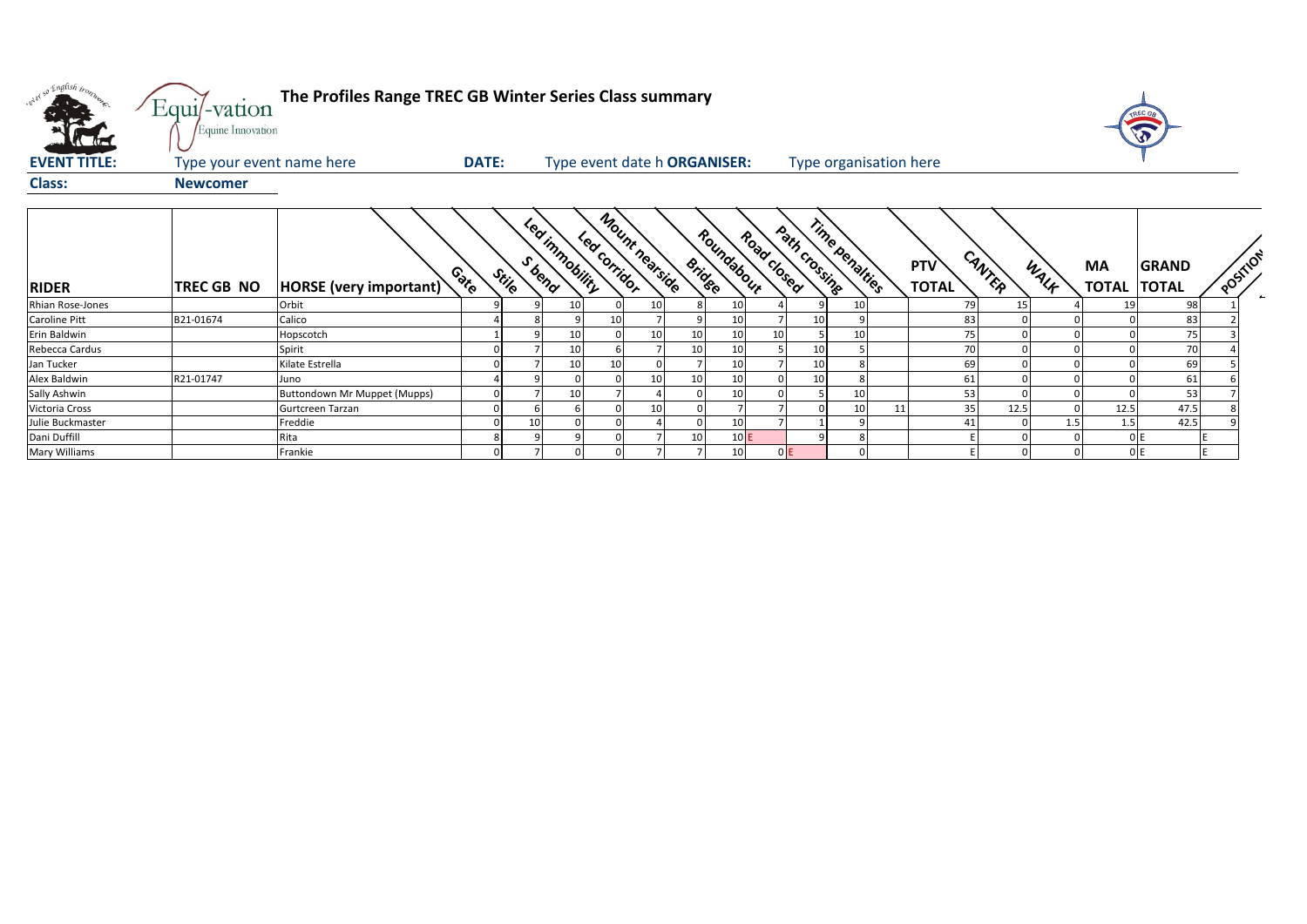| will so English trong   | Equi/-vation<br>Equine Innovation | The Profiles Range TREC GB Winter Series Class summary |              |       |                              |    |                                |                 |                             |                 |                             |                        |    |                            |        |      |      |                                    |          |              |
|-------------------------|-----------------------------------|--------------------------------------------------------|--------------|-------|------------------------------|----|--------------------------------|-----------------|-----------------------------|-----------------|-----------------------------|------------------------|----|----------------------------|--------|------|------|------------------------------------|----------|--------------|
| <b>EVENT TITLE:</b>     | Type your event name here         |                                                        | <b>DATE:</b> |       | Type event date h ORGANISER: |    |                                |                 |                             |                 |                             | Type organisation here |    |                            |        |      |      |                                    |          |              |
| <b>Class:</b>           | <b>Newcomer</b>                   |                                                        |              |       |                              |    |                                |                 |                             |                 |                             |                        |    |                            |        |      |      |                                    |          |              |
| <b>RIDER</b>            | <b>TREC GB NO</b>                 | HORSE (very important)                                 | Coto         | Stile | Led inmobility<br>S bend     |    | Mount nearside<br>Led corridor |                 | Roundabour<br><b>Bridge</b> |                 | Path crossing<br>Road dosed | Time penalties         |    | <b>PTV</b><br><b>TOTAL</b> | CANTER | WALK | MA   | <b>GRAND</b><br><b>TOTAL TOTAL</b> | POSITION |              |
| <b>Rhian Rose-Jones</b> |                                   | Orbit                                                  |              |       | 10                           |    |                                |                 | 10                          |                 |                             | 10                     |    | 79                         | 15     |      | 19   | 98                                 |          | $\leftarrow$ |
| <b>Caroline Pitt</b>    | B21-01674                         | Calico                                                 |              |       |                              | 10 |                                |                 | 10                          |                 |                             |                        |    | 83                         |        |      |      | 83                                 |          |              |
| Erin Baldwin            |                                   | Hopscotch                                              |              |       | 10                           |    | 10                             | 10              | 10                          | 10 <sub>1</sub> |                             | 10                     |    | 75                         |        |      |      | 75                                 |          |              |
| Rebecca Cardus          |                                   | Spirit                                                 |              |       | 10                           |    |                                | 10              | 10                          |                 |                             |                        |    | 70                         |        |      |      | 70                                 |          |              |
| Jan Tucker              |                                   | Kilate Estrella                                        |              |       | 10                           |    |                                |                 | 10                          |                 |                             |                        |    | 69                         |        |      |      | 69                                 |          |              |
| Alex Baldwin            | R21-01747                         | Juno                                                   |              |       |                              |    | 10                             | 10 <sup>1</sup> | 10                          |                 | 10                          | 8                      |    | 61                         |        |      |      | 61                                 |          |              |
| Sally Ashwin            |                                   | Buttondown Mr Muppet (Mupps)                           |              |       | 10                           |    |                                |                 | 10 <sup>1</sup>             |                 |                             | 10                     |    | 53                         |        |      |      | 53                                 |          |              |
| Victoria Cross          |                                   | Gurtcreen Tarzan                                       |              |       |                              |    | 10                             |                 |                             |                 |                             | 10                     | 11 | 35                         | 12.5   |      | 12.5 | 47.5                               |          |              |
| Julie Buckmaster        |                                   | Freddie                                                |              | 10    |                              |    |                                |                 | 10                          |                 |                             |                        |    | 41                         |        |      | 1.5  | 42.5                               |          |              |
| Dani Duffill            |                                   | Rita                                                   |              | 8     |                              |    |                                | 10              |                             | 10E             |                             |                        |    |                            |        |      |      | 0 E                                |          |              |
| <b>Mary Williams</b>    |                                   | Frankie                                                | $\Omega$     |       |                              |    |                                |                 | 10                          |                 | 0E                          |                        |    |                            |        |      |      | 0 E                                |          |              |